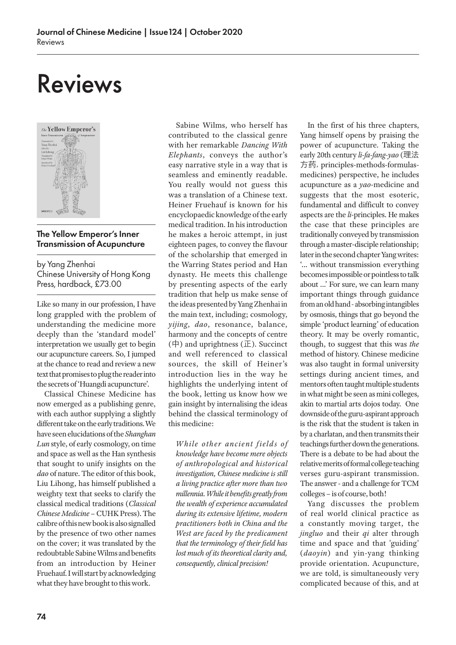# Reviews



## The Yellow Emperor's Inner Transmission of Acupuncture

by Yang Zhenhai Chinese University of Hong Kong Press, hardback, £73.00

Like so many in our profession, I have long grappled with the problem of understanding the medicine more deeply than the 'standard model' interpretation we usually get to begin our acupuncture careers. So, I jumped at the chance to read and review a new text that promises to plug the reader into the secrets of 'Huangdi acupuncture'.

Classical Chinese Medicine has now emerged as a publishing genre, with each author supplying a slightly different take on the early traditions. We have seen elucidations of the *Shanghan Lun* style, of early cosmology, on time and space as well as the Han synthesis that sought to unify insights on the *dao* of nature. The editor of this book, Liu Lihong, has himself published a weighty text that seeks to clarify the classical medical traditions (*Classical Chinese Medicine* – CUHK Press). The calibre of this new book is also signalled by the presence of two other names on the cover; it was translated by the redoubtable Sabine Wilms and benefits from an introduction by Heiner Fruehauf. I will start by acknowledging what they have brought to this work.

Sabine Wilms, who herself has contributed to the classical genre with her remarkable *Dancing With Elephants*, conveys the author's easy narrative style in a way that is seamless and eminently readable. You really would not guess this was a translation of a Chinese text. Heiner Fruehauf is known for his encyclopaedic knowledge of the early medical tradition. In his introduction he makes a heroic attempt, in just eighteen pages, to convey the flavour of the scholarship that emerged in the Warring States period and Han dynasty. He meets this challenge by presenting aspects of the early tradition that help us make sense of the ideas presented by Yang Zhenhai in the main text, including; cosmology, *yijing*, *dao*, resonance, balance, harmony and the concepts of centre  $(\nexists)$  and uprightness ( $\mathbb{E}$ ). Succinct and well referenced to classical sources, the skill of Heiner's introduction lies in the way he highlights the underlying intent of the book, letting us know how we gain insight by internalising the ideas behind the classical terminology of this medicine:

*While other ancient fields of knowledge have become mere objects of anthropological and historical investigation, Chinese medicine is still a living practice after more than two millennia. While it benefits greatly from the wealth of experience accumulated during its extensive lifetime, modern practitioners both in China and the West are faced by the predicament that the terminology of their field has lost much of its theoretical clarity and, consequently, clinical precision!*

In the first of his three chapters, Yang himself opens by praising the power of acupuncture. Taking the early 20th century *li-fa-fang-yao* (理法 方药, principles-methods-formulasmedicines) perspective, he includes acupuncture as a *yao*-medicine and suggests that the most esoteric, fundamental and difficult to convey aspects are the *li*-principles. He makes the case that these principles are traditionally conveyed by transmission through a master-disciple relationship; later in the second chapter Yang writes: '… without transmission everything becomes impossible or pointless to talk about …' For sure, we can learn many important things through guidance from an old hand *-* absorbing intangibles by osmosis, things that go beyond the simple 'product learning' of education theory. It may be overly romantic, though, to suggest that this was *the* method of history. Chinese medicine was also taught in formal university settings during ancient times, and mentors often taught multiple students in what might be seen as mini colleges, akin to martial arts dojos today. One downside of the guru-aspirant approach is the risk that the student is taken in by a charlatan, and then transmits their teachings further down the generations. There is a debate to be had about the relative merits of formal college teaching verses guru-aspirant transmission. The answer - and a challenge for TCM colleges – is of course, both!

Yang discusses the problem of real world clinical practice as a constantly moving target, the *jingluo* and their *qi* alter through time and space and that 'guiding' (*daoyin*) and yin-yang thinking provide orientation. Acupuncture, we are told, is simultaneously very complicated because of this, and at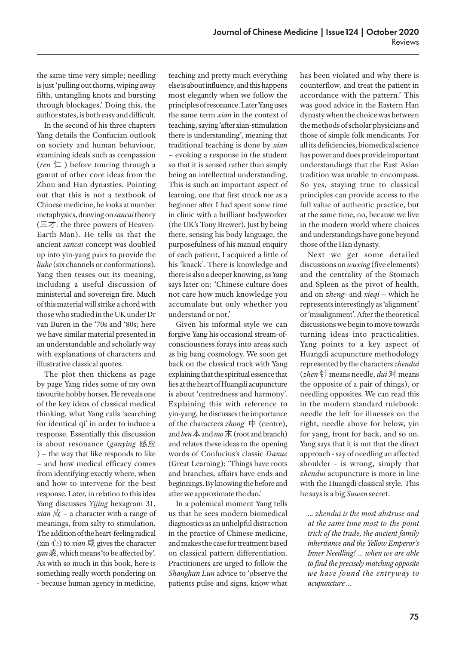the same time very simple; needling is just 'pulling out thorns, wiping away filth, untangling knots and bursting through blockages.' Doing this, the author states, is both easy and difficult.

In the second of his three chapters Yang details the Confucian outlook on society and human behaviour, examining ideals such as compassion (*ren*  $\left( \square \right)$  before touring through a gamut of other core ideas from the Zhou and Han dynasties. Pointing out that this is not a textbook of Chinese medicine, he looks at number metaphysics, drawing on *sancai* theory (三才, the three powers of Heaven-Earth-Man). He tells us that the ancient *sancai* concept was doubled up into yin-yang pairs to provide the *liuhe* (six channels or conformations). Yang then teases out its meaning, including a useful discussion of ministerial and sovereign fire. Much of this material will strike a chord with those who studied in the UK under Dr van Buren in the '70s and '80s; here we have similar material presented in an understandable and scholarly way with explanations of characters and illustrative classical quotes.

The plot then thickens as page by page Yang rides some of my own favourite hobby horses. He reveals one of the key ideas of classical medical thinking, what Yang calls 'searching for identical qi' in order to induce a response. Essentially this discussion is about resonance (*ganying* 感应 ) – the way that like responds to like – and how medical efficacy comes from identifying exactly where, when and how to intervene for the best response. Later, in relation to this idea Yang discusses *Yijing* hexagram 31, *xian*  $\vec{R}$  – a character with a range of meanings, from salty to stimulation. The addition of the heart-feeling radical  $(xin \rightarrow)$  to *xian* 咸 gives the character *gan*感, which means 'to be affected by'. As with so much in this book, here is something really worth pondering on - because human agency in medicine, teaching and pretty much everything else is about influence, and this happens most elegantly when we follow the principles of resonance. Later Yang uses the same term *xian* in the context of teaching, saying 'after xian-stimulation there is understanding', meaning that traditional teaching is done by *xian* – evoking a response in the student so that it is sensed rather than simply being an intellectual understanding. This is such an important aspect of learning, one that first struck me as a beginner after I had spent some time in clinic with a brilliant bodyworker (the UK's Tony Brewer). Just by being there, sensing his body language, the purposefulness of his manual enquiry of each patient, I acquired a little of his 'knack'. There is knowledge and there is also a deeper knowing, as Yang says later on: 'Chinese culture does not care how much knowledge you accumulate but only whether you understand or not.'

Given his informal style we can forgive Yang his occasional stream-ofconsciousness forays into areas such as big bang cosmology. We soon get back on the classical track with Yang explaining that the spiritual essence that lies at the heart of Huangdi acupuncture is about 'centredness and harmony'. Explaining this with reference to yin-yang, he discusses the importance of the characters *zhong*  $\ \nexists$  (centre), and *ben*  $\ddot{\textbf{x}}$  and *mo*  $\ddot{\textbf{x}}$  (root and branch) and relates these ideas to the opening words of Confucius's classic *Daxue* (Great Learning): 'Things have roots and branches, affairs have ends and beginnings. By knowing the before and after we approximate the dao.'

In a polemical moment Yang tells us that he sees modern biomedical diagnostics as an unhelpful distraction in the practice of Chinese medicine, and makes the case for treatment based on classical pattern differentiation. Practitioners are urged to follow the *Shanghan Lun* advice to 'observe the patients pulse and signs, know what has been violated and why there is counterflow, and treat the patient in accordance with the pattern.' This was good advice in the Eastern Han dynasty when the choice was between the methods of scholar physicians and those of simple folk mendicants. For all its deficiencies, biomedical science has power and does provide important understandings that the East Asian tradition was unable to encompass. So yes, staying true to classical principles can provide access to the full value of authentic practice, but at the same time, no, because we live in the modern world where choices and understandings have gone beyond those of the Han dynasty.

Next we get some detailed discussions on *wuxing* (five elements) and the centrality of the Stomach and Spleen as the pivot of health, and on *zheng-* and *xieqi* – which he represents interestingly as 'alignment' or 'misalignment'. After the theoretical discussions we begin to move towards turning ideas into practicalities. Yang points to a key aspect of Huangdi acupuncture methodology represented by the characters *zhendui* (*zhen* 针 means needle, *dui* 对 means the opposite of a pair of things), or needling opposites. We can read this in the modern standard rulebook: needle the left for illnesses on the right, needle above for below, yin for yang, front for back, and so on. Yang says that it is not that the direct approach - say of needling an affected shoulder - is wrong, simply that *zhendui* acupuncture is more in line with the Huangdi classical style. This he says is a big *Suwen* secret.

*… zhendui is the most abstruse and at the same time most to-the-point trick of the trade, the ancient family inheritance and the Yellow Emperor's Inner Needling! … when we are able to find the precisely matching opposite we have found the entryway to acupuncture …*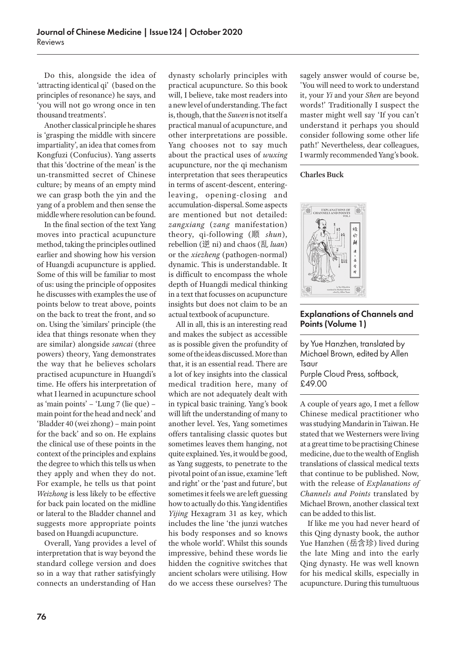Do this, alongside the idea of 'attracting identical qi' (based on the principles of resonance) he says, and 'you will not go wrong once in ten thousand treatments'.

Another classical principle he shares is 'grasping the middle with sincere impartiality', an idea that comes from Kongfuzi (Confucius). Yang asserts that this 'doctrine of the mean' is the un-transmitted secret of Chinese culture; by means of an empty mind we can grasp both the yin and the yang of a problem and then sense the middle where resolution can be found.

In the final section of the text Yang moves into practical acupuncture method, taking the principles outlined earlier and showing how his version of Huangdi acupuncture is applied. Some of this will be familiar to most of us: using the principle of opposites he discusses with examples the use of points below to treat above, points on the back to treat the front, and so on. Using the 'similars' principle (the idea that things resonate when they are similar) alongside *sancai* (three powers) theory, Yang demonstrates the way that he believes scholars practised acupuncture in Huangdi's time. He offers his interpretation of what I learned in acupuncture school as 'main points' – 'Lung 7 (lie que) – main point for the head and neck' and 'Bladder 40 (wei zhong) – main point for the back' and so on. He explains the clinical use of these points in the context of the principles and explains the degree to which this tells us when they apply and when they do not. For example, he tells us that point *Weizhong* is less likely to be effective for back pain located on the midline or lateral to the Bladder channel and suggests more appropriate points based on Huangdi acupuncture.

Overall, Yang provides a level of interpretation that is way beyond the standard college version and does so in a way that rather satisfyingly connects an understanding of Han

dynasty scholarly principles with practical acupuncture. So this book will, I believe, take most readers into a new level of understanding. The fact is, though, that the *Suwen* is not itself a practical manual of acupuncture, and other interpretations are possible. Yang chooses not to say much about the practical uses of *wuxing*  acupuncture, nor the qi mechanism interpretation that sees therapeutics in terms of ascent-descent, enteringleaving, opening-closing and accumulation-dispersal. Some aspects are mentioned but not detailed: *zangxiang* (*zang* manifestation) theory, qi-following (顺 *shun*), rebellion (逆 ni) and chaos (乱 *luan*) or the *xiezheng* (pathogen-normal) dynamic. This is understandable. It is difficult to encompass the whole depth of Huangdi medical thinking in a text that focusses on acupuncture insights but does not claim to be an actual textbook of acupuncture.

All in all, this is an interesting read and makes the subject as accessible as is possible given the profundity of some of the ideas discussed. More than that, it is an essential read. There are a lot of key insights into the classical medical tradition here, many of which are not adequately dealt with in typical basic training. Yang's book will lift the understanding of many to another level. Yes, Yang sometimes offers tantalising classic quotes but sometimes leaves them hanging, not quite explained. Yes, it would be good, as Yang suggests, to penetrate to the pivotal point of an issue, examine 'left and right' or the 'past and future', but sometimes it feels we are left guessing how to actually do this. Yang identifies *Yijing* Hexagram 31 as key, which includes the line 'the junzi watches his body responses and so knows the whole world'. Whilst this sounds impressive, behind these words lie hidden the cognitive switches that ancient scholars were utilising. How do we access these ourselves? The

sagely answer would of course be, 'You will need to work to understand it, your *Yi* and your *Shen* are beyond words!' Traditionally I suspect the master might well say 'If you can't understand it perhaps you should consider following some other life path!' Nevertheless, dear colleagues, I warmly recommended Yang's book.

#### **Charles Buck**



# Explanations of Channels and Points (Volume 1)

by Yue Hanzhen, translated by Michael Brown, edited by Allen Tsaur Purple Cloud Press, softback, £49.00

A couple of years ago, I met a fellow Chinese medical practitioner who was studying Mandarin in Taiwan. He stated that we Westerners were living at a great time to be practising Chinese medicine, due to the wealth of English translations of classical medical texts that continue to be published. Now, with the release of *Explanations of Channels and Points* translated by Michael Brown, another classical text can be added to this list.

If like me you had never heard of this Qing dynasty book, the author Yue Hanzhen (岳含珍) lived during the late Ming and into the early Qing dynasty. He was well known for his medical skills, especially in acupuncture. During this tumultuous